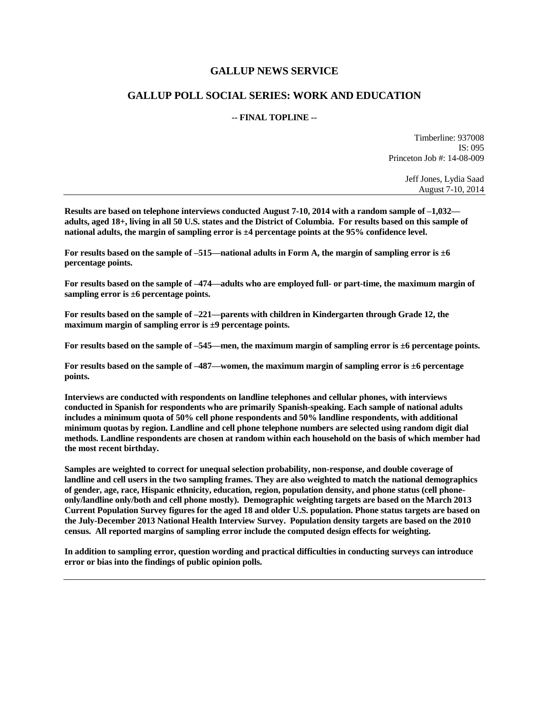### **GALLUP NEWS SERVICE**

### **GALLUP POLL SOCIAL SERIES: WORK AND EDUCATION**

### **-- FINAL TOPLINE --**

Timberline: 937008 IS: 095 Princeton Job #: 14-08-009

> Jeff Jones, Lydia Saad August 7-10, 2014

**Results are based on telephone interviews conducted August 7-10, 2014 with a random sample of –1,032 adults, aged 18+, living in all 50 U.S. states and the District of Columbia. For results based on this sample of national adults, the margin of sampling error is ±4 percentage points at the 95% confidence level.** 

**For results based on the sample of –515—national adults in Form A, the margin of sampling error is ±6 percentage points.**

**For results based on the sample of –474—adults who are employed full- or part-time, the maximum margin of sampling error is ±6 percentage points.**

**For results based on the sample of –221—parents with children in Kindergarten through Grade 12, the maximum margin of sampling error is ±9 percentage points.**

**For results based on the sample of –545—men, the maximum margin of sampling error is ±6 percentage points.**

**For results based on the sample of –487—women, the maximum margin of sampling error is ±6 percentage points.**

**Interviews are conducted with respondents on landline telephones and cellular phones, with interviews conducted in Spanish for respondents who are primarily Spanish-speaking. Each sample of national adults includes a minimum quota of 50% cell phone respondents and 50% landline respondents, with additional minimum quotas by region. Landline and cell phone telephone numbers are selected using random digit dial methods. Landline respondents are chosen at random within each household on the basis of which member had the most recent birthday.**

**Samples are weighted to correct for unequal selection probability, non-response, and double coverage of landline and cell users in the two sampling frames. They are also weighted to match the national demographics of gender, age, race, Hispanic ethnicity, education, region, population density, and phone status (cell phoneonly/landline only/both and cell phone mostly). Demographic weighting targets are based on the March 2013 Current Population Survey figures for the aged 18 and older U.S. population. Phone status targets are based on the July-December 2013 National Health Interview Survey. Population density targets are based on the 2010 census. All reported margins of sampling error include the computed design effects for weighting.** 

**In addition to sampling error, question wording and practical difficulties in conducting surveys can introduce error or bias into the findings of public opinion polls.**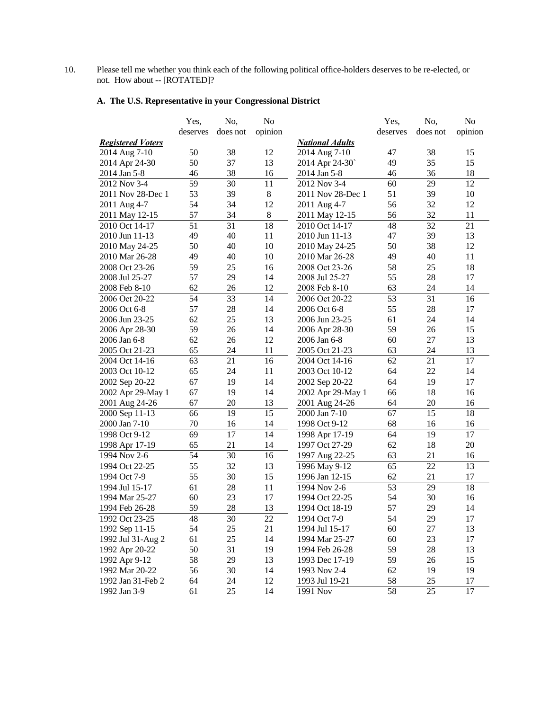10. Please tell me whether you think each of the following political office-holders deserves to be re-elected, or not. How about -- [ROTATED]?

# **A. The U.S. Representative in your Congressional District**

|                          | Yes,     | No,      | No      |                        | Yes,     | No,             | No      |
|--------------------------|----------|----------|---------|------------------------|----------|-----------------|---------|
|                          | deserves | does not | opinion |                        | deserves | does not        | opinion |
| <b>Registered Voters</b> |          |          |         | <b>National Adults</b> |          |                 |         |
| 2014 Aug 7-10            | 50       | 38       | 12      | 2014 Aug 7-10          | 47       | 38              | 15      |
| 2014 Apr 24-30           | 50       | 37       | 13      | 2014 Apr 24-30         | 49       | 35              | 15      |
| 2014 Jan 5-8             | 46       | 38       | 16      | 2014 Jan 5-8           | 46       | 36              | 18      |
| 2012 Nov 3-4             | 59       | 30       | 11      | 2012 Nov 3-4           | 60       | 29              | 12      |
| 2011 Nov 28-Dec 1        | 53       | 39       | $\,8\,$ | 2011 Nov 28-Dec 1      | 51       | 39              | 10      |
| 2011 Aug 4-7             | 54       | 34       | 12      | 2011 Aug 4-7           | 56       | 32              | 12      |
| 2011 May 12-15           | 57       | 34       | $\,8\,$ | 2011 May 12-15         | 56       | 32              | 11      |
| 2010 Oct 14-17           | 51       | 31       | 18      | 2010 Oct 14-17         | 48       | 32              | 21      |
| 2010 Jun 11-13           | 49       | 40       | 11      | 2010 Jun 11-13         | 47       | 39              | 13      |
| 2010 May 24-25           | 50       | 40       | 10      | 2010 May 24-25         | 50       | 38              | 12      |
| 2010 Mar 26-28           | 49       | 40       | 10      | 2010 Mar 26-28         | 49       | 40              | 11      |
| 2008 Oct 23-26           | 59       | 25       | 16      | 2008 Oct 23-26         | 58       | 25              | 18      |
| 2008 Jul 25-27           | 57       | 29       | 14      | 2008 Jul 25-27         | 55       | 28              | 17      |
| 2008 Feb 8-10            | 62       | 26       | 12      | 2008 Feb 8-10          | 63       | 24              | 14      |
| 2006 Oct 20-22           | 54       | 33       | 14      | 2006 Oct 20-22         | 53       | $\overline{31}$ | 16      |
| 2006 Oct 6-8             | 57       | 28       | 14      | 2006 Oct 6-8           | 55       | 28              | 17      |
| 2006 Jun 23-25           | 62       | 25       | 13      | 2006 Jun 23-25         | 61       | 24              | 14      |
| 2006 Apr 28-30           | 59       | 26       | 14      | 2006 Apr 28-30         | 59       | 26              | 15      |
| 2006 Jan 6-8             | 62       | 26       | 12      | 2006 Jan 6-8           | 60       | 27              | 13      |
| 2005 Oct 21-23           | 65       | 24       | 11      | 2005 Oct 21-23         | 63       | 24              | 13      |
| 2004 Oct 14-16           | 63       | 21       | 16      | 2004 Oct 14-16         | 62       | 21              | 17      |
| 2003 Oct 10-12           | 65       | 24       | 11      | 2003 Oct 10-12         | 64       | 22              | 14      |
| 2002 Sep 20-22           | 67       | 19       | 14      | 2002 Sep 20-22         | 64       | 19              | 17      |
| 2002 Apr 29-May 1        | 67       | 19       | 14      | 2002 Apr 29-May 1      | 66       | 18              | 16      |
| 2001 Aug 24-26           | 67       | 20       | 13      | 2001 Aug 24-26         | 64       | 20              | 16      |
| 2000 Sep 11-13           | 66       | 19       | 15      | 2000 Jan 7-10          | 67       | 15              | 18      |
| 2000 Jan 7-10            | 70       | 16       | 14      | 1998 Oct 9-12          | 68       | 16              | 16      |
| 1998 Oct 9-12            | 69       | 17       | 14      | 1998 Apr 17-19         | 64       | 19              | 17      |
| 1998 Apr 17-19           | 65       | 21       | 14      | 1997 Oct 27-29         | 62       | 18              | 20      |
| 1994 Nov 2-6             | 54       | 30       | 16      | 1997 Aug 22-25         | 63       | 21              | 16      |
| 1994 Oct 22-25           | 55       | 32       | 13      | 1996 May 9-12          | 65       | 22              | 13      |
| 1994 Oct 7-9             | 55       | 30       | 15      | 1996 Jan 12-15         | 62       | 21              | 17      |
| 1994 Jul 15-17           | 61       | 28       | 11      | 1994 Nov 2-6           | 53       | 29              | 18      |
| 1994 Mar 25-27           | 60       | 23       | 17      | 1994 Oct 22-25         | 54       | 30              | 16      |
| 1994 Feb 26-28           | 59       | 28       | 13      | 1994 Oct 18-19         | 57       | 29              | 14      |
| 1992 Oct 23-25           | 48       | 30       | 22      | 1994 Oct 7-9           | 54       | 29              | $17\,$  |
| 1992 Sep 11-15           | 54       | 25       | 21      | 1994 Jul 15-17         | 60       | 27              | 13      |
| 1992 Jul 31-Aug 2        | 61       | 25       | 14      | 1994 Mar 25-27         | 60       | 23              | 17      |
| 1992 Apr 20-22           | 50       | 31       | 19      | 1994 Feb 26-28         | 59       | 28              | 13      |
| 1992 Apr 9-12            | 58       | 29       | 13      | 1993 Dec 17-19         | 59       | 26              | 15      |
| 1992 Mar 20-22           | 56       | 30       | 14      | 1993 Nov 2-4           | 62       | 19              | 19      |
| 1992 Jan 31-Feb 2        | 64       | 24       | 12      | 1993 Jul 19-21         | 58       | 25              | 17      |
| 1992 Jan 3-9             | 61       | 25       | 14      | 1991 Nov               | 58       | 25              | 17      |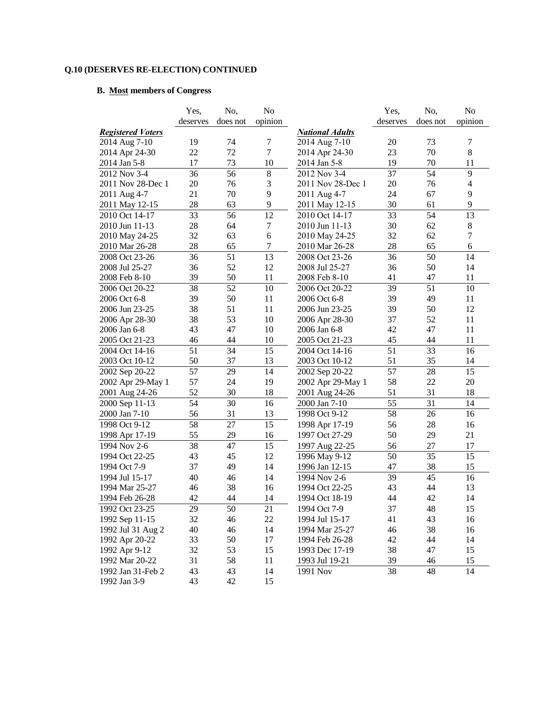## **Q.10 (DESERVES RE-ELECTION) CONTINUED**

## **B. Most members of Congress**

|                          | Yes.     | No,      | N <sub>o</sub> |                        | Yes,            | No,             | No             |
|--------------------------|----------|----------|----------------|------------------------|-----------------|-----------------|----------------|
|                          | deserves | does not | opinion        |                        | deserves        | does not        | opinion        |
| <b>Registered Voters</b> |          |          |                | <b>National Adults</b> |                 |                 |                |
| 2014 Aug 7-10            | 19       | 74       | 7              | 2014 Aug 7-10          | 20              | 73              | 7              |
| 2014 Apr 24-30           | 22       | 72       | $\tau$         | 2014 Apr 24-30         | 23              | 70              | 8              |
| 2014 Jan 5-8             | 17       | 73       | 10             | 2014 Jan 5-8           | 19              | 70              | 11             |
| 2012 Nov 3-4             | 36       | 56       | $8\,$          | 2012 Nov 3-4           | 37              | 54              | 9              |
| 2011 Nov 28-Dec 1        | 20       | 76       | 3              | 2011 Nov 28-Dec 1      | 20              | 76              | $\overline{4}$ |
| 2011 Aug 4-7             | 21       | 70       | 9              | 2011 Aug 4-7           | 24              | 67              | 9              |
| 2011 May 12-15           | 28       | 63       | 9              | 2011 May 12-15         | 30              | 61              | 9              |
| 2010 Oct 14-17           | 33       | 56       | 12             | 2010 Oct 14-17         | 33              | 54              | 13             |
| 2010 Jun 11-13           | 28       | 64       | $\tau$         | 2010 Jun 11-13         | 30              | 62              | $\,8\,$        |
| 2010 May 24-25           | 32       | 63       | 6              | 2010 May 24-25         | 32              | 62              | $\tau$         |
| 2010 Mar 26-28           | 28       | 65       | 7              | 2010 Mar 26-28         | 28              | 65              | 6              |
| 2008 Oct 23-26           | 36       | 51       | 13             | 2008 Oct 23-26         | 36              | 50              | 14             |
| 2008 Jul 25-27           | 36       | 52       | 12             | 2008 Jul 25-27         | 36              | 50              | 14             |
| 2008 Feb 8-10            | 39       | 50       | 11             | 2008 Feb 8-10          | 41              | 47              | 11             |
| 2006 Oct 20-22           | 38       | 52       | 10             | 2006 Oct 20-22         | 39              | $\overline{51}$ | 10             |
| 2006 Oct 6-8             | 39       | 50       | 11             | 2006 Oct 6-8           | 39              | 49              | 11             |
| 2006 Jun 23-25           | 38       | 51       | 11             | 2006 Jun 23-25         | 39              | 50              | 12             |
| 2006 Apr 28-30           | 38       | 53       | 10             | 2006 Apr 28-30         | 37              | 52              | 11             |
| 2006 Jan 6-8             | 43       | 47       | 10             | 2006 Jan 6-8           | 42              | 47              | 11             |
| 2005 Oct 21-23           | 46       | 44       | 10             | 2005 Oct 21-23         | 45              | 44              | 11             |
| 2004 Oct 14-16           | 51       | 34       | 15             | 2004 Oct 14-16         | 51              | 33              | 16             |
| 2003 Oct 10-12           | 50       | 37       | 13             | 2003 Oct 10-12         | 51              | 35              | 14             |
| 2002 Sep 20-22           | 57       | 29       | 14             | 2002 Sep 20-22         | $\overline{57}$ | 28              | 15             |
| 2002 Apr 29-May 1        | 57       | 24       | 19             | 2002 Apr 29-May 1      | 58              | 22              | 20             |
| 2001 Aug 24-26           | 52       | 30       | 18             | 2001 Aug 24-26         | 51              | 31              | 18             |
| 2000 Sep 11-13           | 54       | 30       | 16             | 2000 Jan 7-10          | 55              | 31              | 14             |
| 2000 Jan 7-10            | 56       | 31       | 13             | 1998 Oct 9-12          | 58              | 26              | 16             |
| 1998 Oct 9-12            | 58       | 27       | 15             | 1998 Apr 17-19         | 56              | 28              | 16             |
| 1998 Apr 17-19           | 55       | 29       | 16             | 1997 Oct 27-29         | 50              | 29              | 21             |
| 1994 Nov 2-6             | 38       | 47       | 15             | 1997 Aug 22-25         | 56              | 27              | 17             |
| 1994 Oct 22-25           | 43       | 45       | 12             | 1996 May 9-12          | 50              | 35              | 15             |
| 1994 Oct 7-9             | 37       | 49       | 14             | 1996 Jan 12-15         | 47              | 38              | 15             |
| 1994 Jul 15-17           | 40       | 46       | 14             | 1994 Nov 2-6           | 39              | 45              | 16             |
| 1994 Mar 25-27           | 46       | 38       | 16             | 1994 Oct 22-25         | 43              | 44              | 13             |
| 1994 Feb 26-28           | 42       | 44       | 14             | 1994 Oct 18-19         | 44              | 42              | 14             |
| 1992 Oct 23-25           | 29       | 50       | 21             | 1994 Oct 7-9           | 37              | 48              | 15             |
| 1992 Sep 11-15           | 32       | 46       | 22             | 1994 Jul 15-17         | 41              | 43              | 16             |
| 1992 Jul 31 Aug 2        | 40       | 46       | 14             | 1994 Mar 25-27         | 46              | 38              | 16             |
| 1992 Apr 20-22           | 33       | 50       | 17             | 1994 Feb 26-28         | 42              | 44              | 14             |
| 1992 Apr 9-12            | 32       | 53       | 15             | 1993 Dec 17-19         | 38              | 47              | 15             |
| 1992 Mar 20-22           | 31       | 58       | 11             | 1993 Jul 19-21         | 39              | 46              | 15             |
| 1992 Jan 31-Feb 2        | 43       | 43       | 14             | 1991 Nov               | 38              | 48              | 14             |
| 1992 Jan 3-9             | 43       | 42       | 15             |                        |                 |                 |                |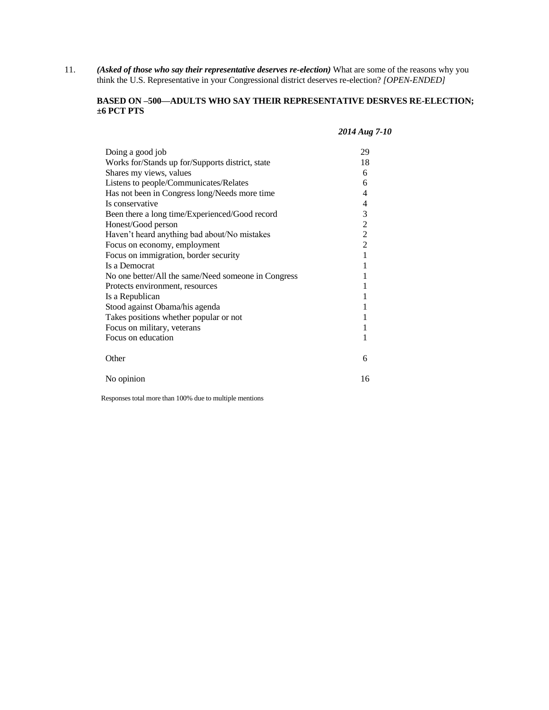11. *(Asked of those who say their representative deserves re-election)* What are some of the reasons why you think the U.S. Representative in your Congressional district deserves re-election? *[OPEN-ENDED]* 

### **BASED ON –500—ADULTS WHO SAY THEIR REPRESENTATIVE DESRVES RE-ELECTION; ±6 PCT PTS**

#### *2014 Aug 7-10*

| Doing a good job                                    | 29             |
|-----------------------------------------------------|----------------|
| Works for/Stands up for/Supports district, state    | 18             |
| Shares my views, values                             | 6              |
| Listens to people/Communicates/Relates              | 6              |
| Has not been in Congress long/Needs more time       | 4              |
| Is conservative                                     | 4              |
| Been there a long time/Experienced/Good record      | 3              |
| Honest/Good person                                  | $\frac{2}{2}$  |
| Haven't heard anything bad about/No mistakes        |                |
| Focus on economy, employment                        | $\overline{2}$ |
| Focus on immigration, border security               | 1              |
| Is a Democrat                                       |                |
| No one better/All the same/Need someone in Congress |                |
| Protects environment, resources                     | 1              |
| Is a Republican                                     |                |
| Stood against Obama/his agenda                      | 1              |
| Takes positions whether popular or not              |                |
| Focus on military, veterans                         |                |
| Focus on education                                  | 1              |
| Other                                               | 6              |
| No opinion                                          | 16             |

Responses total more than 100% due to multiple mentions